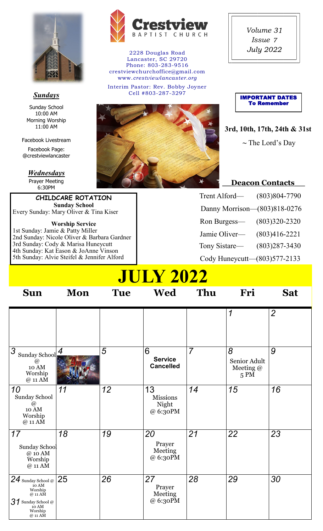

### *Sundays*

Sunday School 10:00 AM Morning Worship 11:00 AM

Facebook Livestream

Facebook Page: @crestviewlancaster

#### *Wednesdays*

Prayer Meeting 6:30PM

**CHILDCARE ROTATION Sunday School** Every Sunday: Mary Oliver & Tina Kiser

**Worship Service** 1st Sunday: Jamie & Patty Miller 2nd Sunday: Nicole Oliver & Barbara Gardner 3rd Sunday: Cody & Marisa Huneycutt 4th Sunday: Kat Eason & JoAnne Vinson 5th Sunday: Alvie Steifel & Jennifer Alford



2228 Douglas Road Lancaster, SC 29720 Phone: 803-283-9516 crestviewchurchoffice@gmail.com www.*crestviewlancaster.org*

Interim Pastor: Rev. Bobby Joyner Cell #803-287-3297



*Volume Issue*  **July 2022** 



**3rd, 10th, 17th, 24th & 31st ~** The Lord's Day

### **\_\_Deacon Contacts\_\_**

| Trent Alford-                | $(803)804 - 7790$ |
|------------------------------|-------------------|
| Danny Morrison-(803)818-0276 |                   |
| Ron Burgess-                 | $(803)320 - 2320$ |
| Jamie Oliver-                | $(803)416 - 2221$ |
| Tony Sistare-                | $(803)287 - 3430$ |
| Cody Huneycutt-(803)577-2133 |                   |

# **JULY 2022**

| <b>Sun</b>                                                                                                         | Mon | <b>Tue</b> | Wed                                        | Thu            | Fri                                      | <b>Sat</b>     |
|--------------------------------------------------------------------------------------------------------------------|-----|------------|--------------------------------------------|----------------|------------------------------------------|----------------|
|                                                                                                                    |     |            |                                            |                | 1                                        | $\overline{2}$ |
| 3<br>Sunday School $\frac{4}{3}$<br>$^{\scriptsize\textregistered}$<br>10 AM<br>Worship<br>$@11$ AM                |     | 5          | 6<br><b>Service</b><br><b>Cancelled</b>    | $\overline{7}$ | 8<br>Senior Adult<br>Meeting $@$<br>5 PM | 9              |
| 10<br>Sunday School<br>$^{\scriptsize\textregistered}$<br>10 AM<br>Worship<br>@ 11 AM                              | 11  | 12         | 13<br><b>Missions</b><br>Night<br>@ 6:30PM | 14             | 15                                       | 16             |
| 17<br>Sunday School<br>@ 10 AM<br>Worship<br>@ 11 AM                                                               | 18  | 19         | 20<br>Prayer<br>Meeting<br>@ 6:30PM        | 21             | 22                                       | 23             |
| 24 Sunday School @<br>10 AM<br>Worship<br>$@11$ AM<br>$31$ Sunday School @<br>10 AM<br>Worship<br>$@11 \text{ AM}$ | 25  | 26         | 27<br>Prayer<br>Meeting<br>@ 6:30PM        | 28             | 29                                       | 30             |